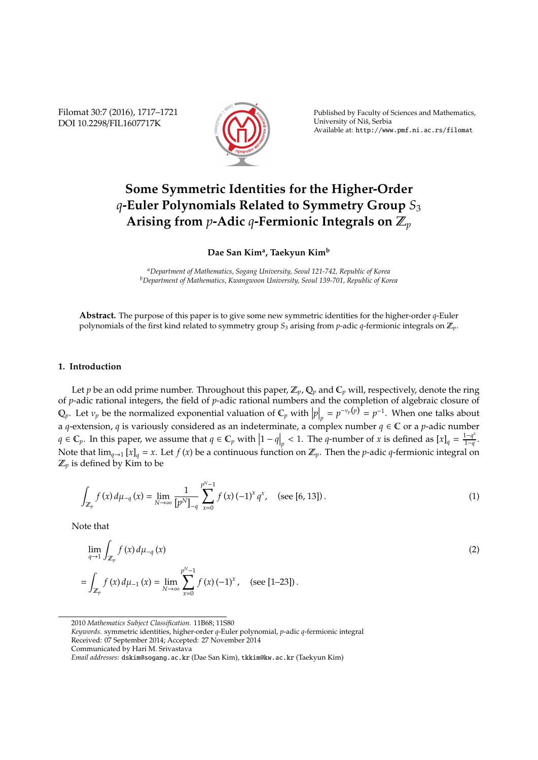Filomat 30:7 (2016), 1717–1721 DOI 10.2298/FIL1607717K



Published by Faculty of Sciences and Mathematics, University of Nis, Serbia ˇ Available at: http://www.pmf.ni.ac.rs/filomat

## **Some Symmetric Identities for the Higher-Order** *q***-Euler Polynomials Related to Symmetry Group** *S*<sup>3</sup> **Arising from** *p***-Adic** *q***-Fermionic Integrals on** Z*<sup>p</sup>*

**Dae San Kim<sup>a</sup> , Taekyun Kim<sup>b</sup>**

*<sup>a</sup>Department of Mathematics, Sogang University, Seoul 121-742, Republic of Korea <sup>b</sup>Department of Mathematics, Kwangwoon University, Seoul 139-701, Republic of Korea*

**Abstract.** The purpose of this paper is to give some new symmetric identities for the higher-order *q*-Euler polynomials of the first kind related to symmetry group *S*<sup>3</sup> arising from *p*-adic *q*-fermionic integrals on Z*p*.

## **1. Introduction**

Let *p* be an odd prime number. Throughout this paper,  $\mathbb{Z}_p$ ,  $\mathbb{Q}_p$  and  $\mathbb{C}_p$  will, respectively, denote the ring of *p*-adic rational integers, the field of *p*-adic rational numbers and the completion of algebraic closure of  $\mathbb{Q}_p$ . Let  $v_p$  be the normalized exponential valuation of  $\mathbb{C}_p$  with  $|p|_p = p^{-v_p(p)} = p^{-1}$ . When one talks about a *q*-extension, *q* is variously considered as an indeterminate, a complex number *q* ∈ C or a *p*-adic number  $q \in \mathbb{C}_p$ . In this paper, we assume that  $q \in \mathbb{C}_p$  with  $|1 - q|_p < 1$ . The *q*-number of *x* is defined as  $[x]_q = \frac{1 - q^3}{1 - q}$  $\frac{1-q}{1-q}$ . Note that  $\lim_{q\to 1} [x]_q = x$ . Let  $f(x)$  be a continuous function on  $\mathbb{Z}_p$ . Then the *p*-adic *q*-fermionic integral on  $\mathbb{Z}_p$  is defined by Kim to be

$$
\int_{\mathbb{Z}_p} f(x) d\mu_{-q}(x) = \lim_{N \to \infty} \frac{1}{[p^N]_{-q}} \sum_{x=0}^{p^N-1} f(x) (-1)^x q^x, \quad \text{(see [6, 13])}.
$$
 (1)

Note that

$$
\lim_{q \to 1} \int_{\mathbb{Z}_p} f(x) d\mu_{-q}(x) \n= \int_{\mathbb{Z}_p} f(x) d\mu_{-1}(x) = \lim_{N \to \infty} \sum_{x=0}^{p^N - 1} f(x) (-1)^x, \quad \text{(see [1-23])}.
$$
\n(2)

2010 *Mathematics Subject Classification*. 11B68; 11S80

*Keywords*. symmetric identities, higher-order *q*-Euler polynomial, *p*-adic *q*-fermionic integral Received: 07 September 2014; Accepted: 27 November 2014 Communicated by Hari M. Srivastava

*Email addresses:* dskim@sogang.ac.kr (Dae San Kim), tkkim@kw.ac.kr (Taekyun Kim)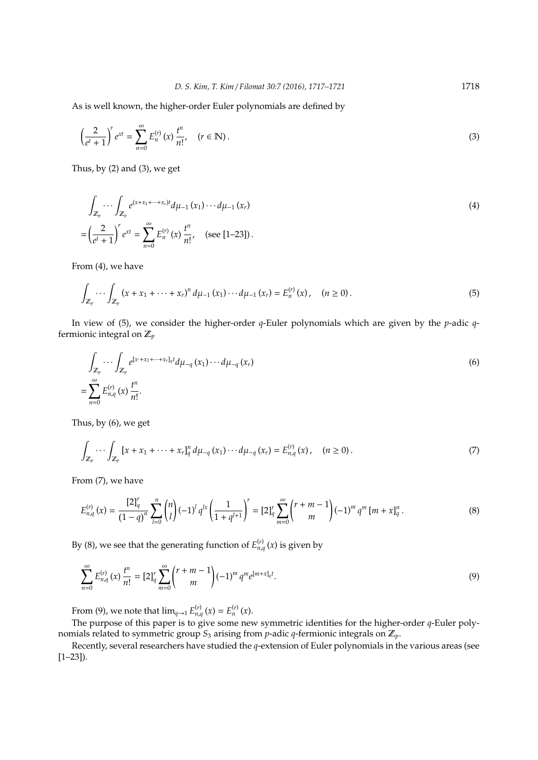As is well known, the higher-order Euler polynomials are defined by

$$
\left(\frac{2}{e^t+1}\right)^r e^{xt} = \sum_{n=0}^{\infty} E_n^{(r)}(x) \frac{t^n}{n!}, \quad (r \in \mathbb{N}).
$$
\n(3)

Thus, by (2) and (3), we get

$$
\int_{\mathbb{Z}_p} \cdots \int_{\mathbb{Z}_p} e^{(x+x_1+\cdots+x_r)t} d\mu_{-1}(x_1) \cdots d\mu_{-1}(x_r)
$$
\n
$$
= \left(\frac{2}{e^t+1}\right)^r e^{xt} = \sum_{n=0}^{\infty} E_n^{(r)}(x) \frac{t^n}{n!}, \quad \text{(see [1-23]).}
$$
\n(4)

From (4), we have

$$
\int_{\mathbb{Z}_p} \cdots \int_{\mathbb{Z}_p} \left( x + x_1 + \cdots + x_r \right)^n d\mu_{-1} \left( x_1 \right) \cdots d\mu_{-1} \left( x_r \right) = E_n^{(r)}(x), \quad (n \ge 0).
$$
\n(5)

In view of (5), we consider the higher-order *q*-Euler polynomials which are given by the *p*-adic *q*fermionic integral on Z*<sup>p</sup>*

$$
\int_{\mathbb{Z}_p} \cdots \int_{\mathbb{Z}_p} e^{[x+x_1+\cdots+x_r]_q t} d\mu_{-q}(x_1) \cdots d\mu_{-q}(x_r)
$$
\n
$$
= \sum_{n=0}^{\infty} E_{n,q}^{(r)}(x) \frac{t^n}{n!}.
$$
\n(6)

Thus, by (6), we get

$$
\int_{\mathbb{Z}_p} \cdots \int_{\mathbb{Z}_p} \left[ x + x_1 + \cdots + x_r \right]_q^n d\mu_{-q}(x_1) \cdots d\mu_{-q}(x_r) = E_{n,q}^{(r)}(x), \quad (n \ge 0).
$$
\n(7)

From (7), we have

$$
E_{n,q}^{(r)}(x) = \frac{[2]_q^r}{(1-q)^n} \sum_{l=0}^n {n \choose l} (-1)^l q^{lx} \left(\frac{1}{1+q^{l+1}}\right)^r = [2]_q^r \sum_{m=0}^\infty {r+m-1 \choose m} (-1)^m q^m [m+x]_q^n.
$$
 (8)

By (8), we see that the generating function of  $E_{n,q}^{(r)}(x)$  is given by

$$
\sum_{n=0}^{\infty} E_{n,q}^{(r)}(x) \frac{t^n}{n!} = [2]_q^r \sum_{m=0}^{\infty} {r+m-1 \choose m} (-1)^m q^m e^{[m+x]_q t}.
$$
\n(9)

From (9), we note that  $\lim_{q \to 1} E_{n,q}^{(r)}(x) = E_n^{(r)}(x)$ .

The purpose of this paper is to give some new symmetric identities for the higher-order *q*-Euler polynomials related to symmetric group *S*<sup>3</sup> arising from *p*-adic *q*-fermionic integrals on Z*p*.

Recently, several researchers have studied the *q*-extension of Euler polynomials in the various areas (see  $[1-23]$ .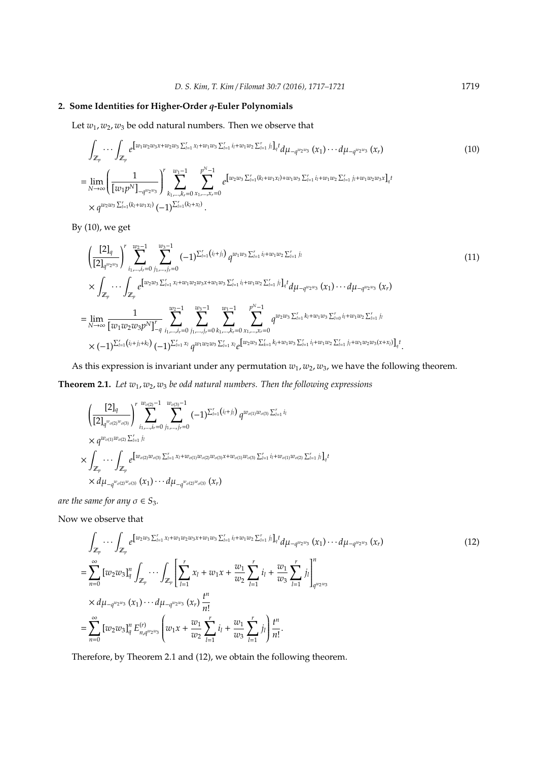## **2. Some Identities for Higher-Order** *q***-Euler Polynomials**

Let  $w_1, w_2, w_3$  be odd natural numbers. Then we observe that

$$
\int_{\mathbb{Z}_p} \cdots \int_{\mathbb{Z}_p} e^{\left[w_1 w_2 w_3 x + w_2 w_3 \sum_{l=1}^r x_l + w_1 w_3 \sum_{l=1}^r i_l + w_1 w_2 \sum_{l=1}^r j_l\right]_q} t} d\mu_{-q^{w_2 w_3}}(x_1) \cdots d\mu_{-q^{w_2 w_3}}(x_r)
$$
\n
$$
= \lim_{N \to \infty} \left( \frac{1}{\left[w_1 p^N\right]_{-q^{w_2 w_3}}}\right)^r \sum_{k_1, \dots, k_r = 0}^{w_1 - 1} \sum_{x_1, \dots, x_r = 0}^{p^N - 1} e^{\left[w_2 w_3 \sum_{l=1}^r (k_l + w_1 x_l) + w_1 w_3 \sum_{l=1}^r i_l + w_1 w_2 \sum_{l=1}^r j_l + w_1 w_2 w_3 x\right]_q t}
$$
\n
$$
\times q^{w_2 w_3 \sum_{l=1}^r (k_l + w_1 x_l)} (-1)^{\sum_{l=1}^r (k_l + x_l)}.
$$
\n(10)

By (10), we get

$$
\left(\frac{[2]_q}{[2]_{q^{w_2w_3}}}\right)^r \sum_{i_1,\dots,i_r=0}^{w_2-1} \sum_{j_1,\dots,j_r=0}^{w_3-1} (-1)^{\sum_{l=1}^r (i_l+j_l)} q^{w_1w_3 \sum_{l=1}^r i_l + w_1w_2 \sum_{l=1}^r j_l}
$$
\n
$$
\times \int_{\mathbb{Z}_p} \cdots \int_{\mathbb{Z}_p} e^{\left[w_2w_3 \sum_{l=1}^r x_l + w_1w_2w_3x + w_1w_3 \sum_{l=1}^r i_l + w_1w_2 \sum_{l=1}^r j_l\right]_q t} d\mu_{-q^{w_2w_3}}(x_1) \cdots d\mu_{-q^{w_2w_3}}(x_r)
$$
\n
$$
= \lim_{N \to \infty} \frac{1}{[w_1w_2w_3p^N]_{-q}^r} \sum_{i_1,\dots,i_r=0}^{w_2-1} \sum_{j_1,\dots,j_r=0}^{w_3-1} \sum_{k_1,\dots,k_r=0}^{w_1-1} \sum_{x_1,\dots,x_r=0}^{p^N-1} q^{w_2w_3 \sum_{l=1}^r k_l + w_1w_3 \sum_{l=0}^r i_l + w_1w_2 \sum_{l=1}^r j_l}
$$
\n
$$
\times (-1)^{\sum_{l=1}^r (i_l+j_l+k_l)} (-1)^{\sum_{l=1}^r x_l} q^{w_1w_2w_3 \sum_{l=1}^r x_l} e^{\left[w_2w_3 \sum_{k=1}^r k_l + w_1w_3 \sum_{l=1}^r i_l + w_1w_2 \sum_{l=1}^r j_l + w_1w_2w_3(x+x_l)\right]_q t}.
$$
\n(11)

As this expression is invariant under any permutation  $w_1$ ,  $w_2$ ,  $w_3$ , we have the following theorem.

**Theorem 2.1.** Let  $w_1, w_2, w_3$  be odd natural numbers. Then the following expressions

$$
\begin{split}\n&\left(\frac{[2]_q}{[2]_{q^{w_{\sigma(2)}w_{\sigma(3)}}}}\right)^r \sum_{i_1,\dots,i_r=0}^{w_{\sigma(2)}-1} \sum_{j_1,\dots,j_r=0}^{w_{\sigma(3)}-1} (-1)^{\sum_{l=1}^r (i_l+j_l)} q^{w_{\sigma(1)}w_{\sigma(3)}\sum_{l=1}^r i_l \\
&\times q^{w_{\sigma(1)}w_{\sigma(2)}\sum_{l=1}^r j_l} \\
&\times \int_{\mathbb{Z}_p} \cdots \int_{\mathbb{Z}_p} e^{\left[w_{\sigma(2)}w_{\sigma(3)}\sum_{l=1}^r x_l + w_{\sigma(1)}w_{\sigma(2)}w_{\sigma(3)}x + w_{\sigma(1)}w_{\sigma(3)}\sum_{l=1}^r i_l + w_{\sigma(1)}w_{\sigma(2)}\sum_{l=1}^r j_l\right]_q} \\
&\times d\mu_{-q^{w_{\sigma(2)}w_{\sigma(3)}}(x_1)\cdots d\mu_{-q^{w_{\sigma(2)}w_{\sigma(3)}}(x_r)\n\end{split}
$$

*are the same for any*  $\sigma \in S_3$ *.* 

Now we observe that

$$
\int_{\mathbb{Z}_p} \cdots \int_{\mathbb{Z}_p} e^{\left[w_2 w_3 \sum_{l=1}^r x_l + w_1 w_2 w_3 x + w_1 w_3 \sum_{l=1}^r i_l + w_1 w_2 \sum_{l=1}^r j_l\right]_q^t} d\mu_{-q^{w_2 w_3}}(x_1) \cdots d\mu_{-q^{w_2 w_3}}(x_r)
$$
\n
$$
= \sum_{n=0}^{\infty} \left[w_2 w_3\right]_q^n \int_{\mathbb{Z}_p} \cdots \int_{\mathbb{Z}_p} \left[\sum_{l=1}^r x_l + w_1 x + \frac{w_1}{w_2} \sum_{l=1}^r i_l + \frac{w_1}{w_3} \sum_{l=1}^r j_l\right]_{q^{w_2 w_3}}^n
$$
\n
$$
\times d\mu_{-q^{w_2 w_3}}(x_1) \cdots d\mu_{-q^{w_2 w_3}}(x_r) \frac{t^n}{n!}
$$
\n
$$
= \sum_{n=0}^{\infty} \left[w_2 w_3\right]_q^n E_{n,q^{w_2 w_3}}^{(r)} \left(w_1 x + \frac{w_1}{w_2} \sum_{l=1}^r i_l + \frac{w_1}{w_3} \sum_{l=1}^r j_l\right) \frac{t^n}{n!}.
$$
\n(12)

Therefore, by Theorem 2.1 and (12), we obtain the following theorem.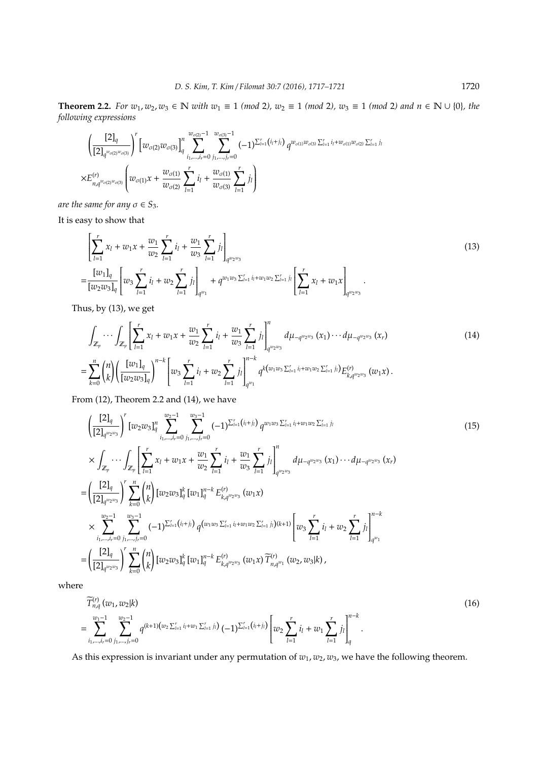**Theorem 2.2.** *For*  $w_1, w_2, w_3 \in \mathbb{N}$  *with*  $w_1 \equiv 1 \pmod{2}$ ,  $w_2 \equiv 1 \pmod{2}$ ,  $w_3 \equiv 1 \pmod{2}$  and  $n \in \mathbb{N} \cup \{0\}$ , the *following expressions*

$$
\begin{split} & \quad \left(\frac{[2]_q}{[2]_{q^{w_{\sigma(2)}w_{\sigma(3)}}}}\right)^r \left[w_{\sigma(2)}w_{\sigma(3)}\right]_{q}^n \sum_{i_1,\ldots,i_r=0}^{w_{\sigma(2)}-1} \sum_{j_1,\ldots,j_r=0}^{w_{\sigma(3)}-1} (-1)^{\sum_{l=1}^r \left(i_1+j_l\right)} q^{w_{\sigma(1)}w_{\sigma(3)}\sum_{l=1}^r i_l + w_{\sigma(1)}w_{\sigma(2)}\sum_{l=1}^r j_l\\ \times E^{(r)}_{n,q^{w_{\sigma(2)}w_{\sigma(3)}}} \left(w_{\sigma(1)}x + \frac{w_{\sigma(1)}}{w_{\sigma(2)}}\sum_{l=1}^r i_l + \frac{w_{\sigma(1)}}{w_{\sigma(3)}}\sum_{l=1}^r j_l \right) \end{split}
$$

*are the same for any*  $\sigma \in S_3$ *.* 

It is easy to show that

$$
\left[\sum_{l=1}^{r} x_{l} + w_{1}x + \frac{w_{1}}{w_{2}} \sum_{l=1}^{r} i_{l} + \frac{w_{1}}{w_{3}} \sum_{l=1}^{r} j_{l}\right]_{q^{w_{2}w_{3}}} \n= \frac{[w_{1}]_{q}}{[w_{2}w_{3}]_{q}} \left[w_{3} \sum_{l=1}^{r} i_{l} + w_{2} \sum_{l=1}^{r} j_{l}\right]_{q^{w_{1}}} + q^{w_{1}w_{3} \sum_{l=1}^{r} i_{l} + w_{1}w_{2} \sum_{l=1}^{r} j_{l}} \left[\sum_{l=1}^{r} x_{l} + w_{1}x\right]_{q^{w_{2}w_{3}}}.
$$
\n(13)

Thus, by (13), we get

$$
\int_{\mathbb{Z}_p} \cdots \int_{\mathbb{Z}_p} \left[ \sum_{l=1}^r x_l + w_1 x + \frac{w_1}{w_2} \sum_{l=1}^r i_l + \frac{w_1}{w_3} \sum_{l=1}^r j_l \right]_{q^{w_2 w_3}}^n d\mu_{-q^{w_2 w_3}}(x_1) \cdots d\mu_{-q^{w_2 w_3}}(x_r) \n= \sum_{k=0}^n {n \choose k} \left( \frac{[w_1]_q}{[w_2 w_3]_q} \right)^{n-k} \left[ w_3 \sum_{l=1}^r i_l + w_2 \sum_{l=1}^r j_l \right]_{q^{w_1}}^{n-k} q^{k \left( w_1 w_3 \sum_{l=1}^r i_l + w_1 w_2 \sum_{l=1}^r j_l \right)} E_{k, q^{w_2 w_3}}^{(r)}(w_1 x).
$$
\n(14)

From (12), Theorem 2.2 and (14), we have

$$
\left(\frac{[2]_q}{[2]_{q^{w_2w_3}}}\right)^r [w_2w_3]_q^n \sum_{i_1,\dots,i_r=0}^{w_2-1} \sum_{j_1,\dots,j_r=0}^{w_3-1} (-1)^{\sum_{i=1}^r (i_i+j_i)} q^{w_1w_3 \sum_{l=1}^r i_l + w_1w_2 \sum_{l=1}^r j_l}
$$
\n
$$
\times \int_{\mathbb{Z}_p} \cdots \int_{\mathbb{Z}_p} \left[ \sum_{l=1}^r x_l + w_1x + \frac{w_1}{w_2} \sum_{l=1}^r i_l + \frac{w_1}{w_3} \sum_{l=1}^r j_l \right]_{q^{w_2w_3}}^n d\mu_{-q^{w_2w_3}}(x_1) \cdots d\mu_{-q^{w_2w_3}}(x_r)
$$
\n
$$
= \left(\frac{[2]_q}{[2]_{q^{w_2w_3}}}\right)^r \sum_{k=0}^n {n \choose k} [w_2w_3]_q^k [w_1]_q^{n-k} E_{k,q^{w_2w_3}}^{(r)} (w_1x)
$$
\n
$$
\times \sum_{i_1,\dots,i_r=0}^{w_2-1} \sum_{j_1,\dots,j_r=0}^{w_3-1} (-1)^{\sum_{l=1}^r (i_l+j_l)} q^{(w_1w_3 \sum_{l=1}^r i_l + w_1w_2 \sum_{l=1}^r j_l)} (w_3 \sum_{l=1}^r i_l + w_2 \sum_{l=1}^r j_l \right]_{q^{w_1}}^{n-k}
$$
\n
$$
= \left(\frac{[2]_q}{[2]_{q^{w_2w_3}}}\right)^r \sum_{k=0}^n {n \choose k} [w_2w_3]_q^k [w_1]_q^{n-k} E_{k,q^{w_2w_3}}^{(r)} (w_1x) \widetilde{T}_{n,q^{w_1}}^{(r)} (w_2, w_3]_k,
$$
\n(211)

where

$$
\widetilde{T}_{n,q}^{(r)}(w_1, w_2|k) = \sum_{i_1, \ldots, i_r=0}^{w_1-1} \sum_{j_1, \ldots, j_r=0}^{w_2-1} q^{(k+1)(w_2 \sum_{l=1}^r i_l + w_1 \sum_{l=1}^r j_l)} (-1)^{\sum_{l=1}^r (i_l + j_l)} \left[ w_2 \sum_{l=1}^r i_l + w_1 \sum_{l=1}^r j_l \right]_q^{n-k}.
$$
\n(16)

As this expression is invariant under any permutation of  $w_1$ ,  $w_2$ ,  $w_3$ , we have the following theorem.